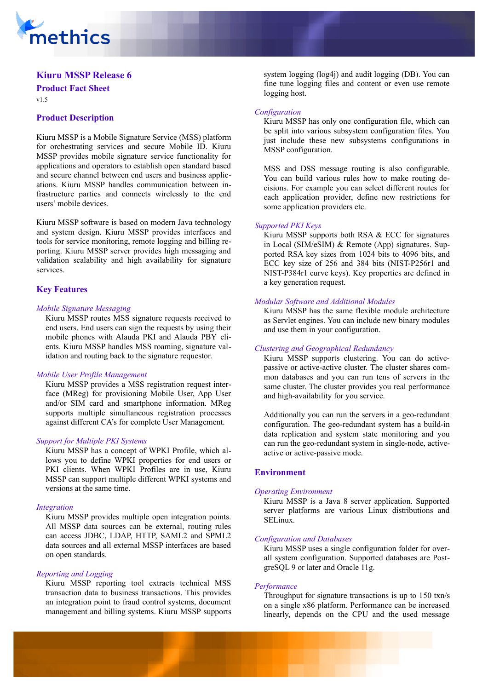

# **Kiuru MSSP Release 6 Product Fact Sheet**

v1.5

# **Product Description**

Kiuru MSSP is a Mobile Signature Service (MSS) platform for orchestrating services and secure Mobile ID. Kiuru MSSP provides mobile signature service functionality for applications and operators to establish open standard based and secure channel between end users and business applications. Kiuru MSSP handles communication between infrastructure parties and connects wirelessly to the end users' mobile devices.

Kiuru MSSP software is based on modern Java technology and system design. Kiuru MSSP provides interfaces and tools for service monitoring, remote logging and billing reporting. Kiuru MSSP server provides high messaging and validation scalability and high availability for signature services.

### **Key Features**

#### *Mobile Signature Messaging*

Kiuru MSSP routes MSS signature requests received to end users. End users can sign the requests by using their mobile phones with Alauda PKI and Alauda PBY clients. Kiuru MSSP handles MSS roaming, signature validation and routing back to the signature requestor.

#### *Mobile User Profile Management*

Kiuru MSSP provides a MSS registration request interface (MReg) for provisioning Mobile User, App User and/or SIM card and smartphone information. MReg supports multiple simultaneous registration processes against different CA's for complete User Management.

#### *Support for Multiple PKI Systems*

Kiuru MSSP has a concept of WPKI Profile, which allows you to define WPKI properties for end users or PKI clients. When WPKI Profiles are in use, Kiuru MSSP can support multiple different WPKI systems and versions at the same time.

#### *Integration*

Kiuru MSSP provides multiple open integration points. All MSSP data sources can be external, routing rules can access JDBC, LDAP, HTTP, SAML2 and SPML2 data sources and all external MSSP interfaces are based on open standards.

#### *Reporting and Logging*

Kiuru MSSP reporting tool extracts technical MSS transaction data to business transactions. This provides an integration point to fraud control systems, document management and billing systems. Kiuru MSSP supports system logging (log4j) and audit logging (DB). You can fine tune logging files and content or even use remote logging host.

#### *Configuration*

Kiuru MSSP has only one configuration file, which can be split into various subsystem configuration files. You just include these new subsystems configurations in MSSP configuration.

MSS and DSS message routing is also configurable. You can build various rules how to make routing decisions. For example you can select different routes for each application provider, define new restrictions for some application providers etc.

#### *Supported PKI Keys*

Kiuru MSSP supports both RSA & ECC for signatures in Local (SIM/eSIM) & Remote (App) signatures. Supported RSA key sizes from 1024 bits to 4096 bits, and ECC key size of 256 and 384 bits (NIST-P256r1 and NIST-P384r1 curve keys). Key properties are defined in a key generation request.

### *Modular Software and Additional Modules*

Kiuru MSSP has the same flexible module architecture as Servlet engines. You can include new binary modules and use them in your configuration.

#### *Clustering and Geographical Redundancy*

Kiuru MSSP supports clustering. You can do activepassive or active-active cluster. The cluster shares common databases and you can run tens of servers in the same cluster. The cluster provides you real performance and high-availability for you service.

Additionally you can run the servers in a geo-redundant configuration. The geo-redundant system has a build-in data replication and system state monitoring and you can run the geo-redundant system in single-node, activeactive or active-passive mode.

### **Environment**

#### *Operating Environment*

Kiuru MSSP is a Java 8 server application. Supported server platforms are various Linux distributions and SELinux.

#### *Configuration and Databases*

Kiuru MSSP uses a single configuration folder for overall system configuration. Supported databases are PostgreSQL 9 or later and Oracle 11g.

#### *Performance*

Throughput for signature transactions is up to 150 txn/s on a single x86 platform. Performance can be increased linearly, depends on the CPU and the used message